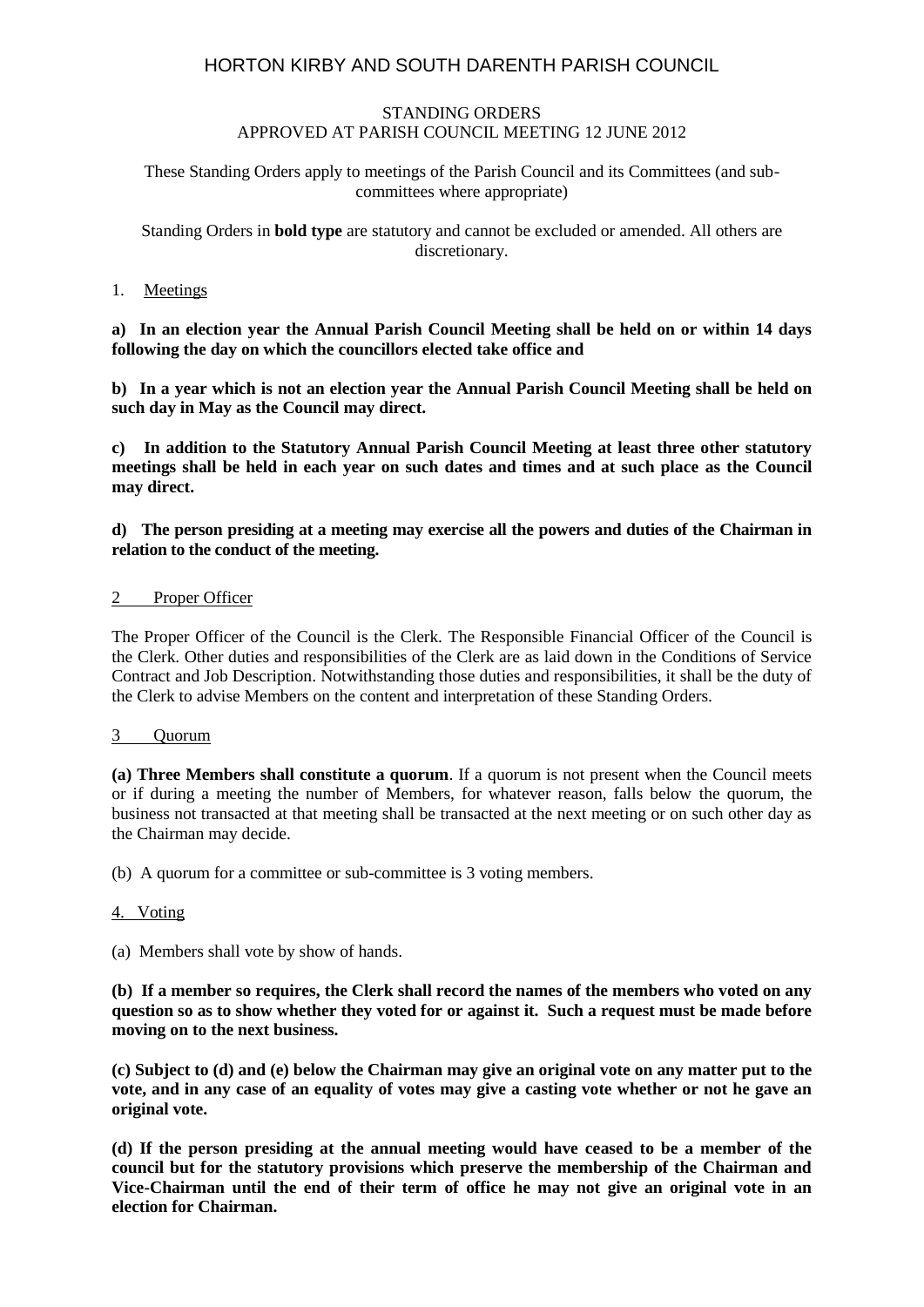# HORTON KIRBY AND SOUTH DARENTH PARISH COUNCIL

## STANDING ORDERS APPROVED AT PARISH COUNCIL MEETING 12 JUNE 2012

## These Standing Orders apply to meetings of the Parish Council and its Committees (and subcommittees where appropriate)

## Standing Orders in **bold type** are statutory and cannot be excluded or amended. All others are discretionary.

# 1. Meetings

**a) In an election year the Annual Parish Council Meeting shall be held on or within 14 days following the day on which the councillors elected take office and**

**b) In a year which is not an election year the Annual Parish Council Meeting shall be held on such day in May as the Council may direct.**

**c) In addition to the Statutory Annual Parish Council Meeting at least three other statutory meetings shall be held in each year on such dates and times and at such place as the Council may direct.**

**d) The person presiding at a meeting may exercise all the powers and duties of the Chairman in relation to the conduct of the meeting.**

### 2 Proper Officer

The Proper Officer of the Council is the Clerk. The Responsible Financial Officer of the Council is the Clerk. Other duties and responsibilities of the Clerk are as laid down in the Conditions of Service Contract and Job Description. Notwithstanding those duties and responsibilities, it shall be the duty of the Clerk to advise Members on the content and interpretation of these Standing Orders.

### 3 Quorum

**(a) Three Members shall constitute a quorum**. If a quorum is not present when the Council meets or if during a meeting the number of Members, for whatever reason, falls below the quorum, the business not transacted at that meeting shall be transacted at the next meeting or on such other day as the Chairman may decide.

(b) A quorum for a committee or sub-committee is 3 voting members.

### 4. Voting

(a) Members shall vote by show of hands.

**(b) If a member so requires, the Clerk shall record the names of the members who voted on any question so as to show whether they voted for or against it. Such a request must be made before moving on to the next business.**

**(c) Subject to (d) and (e) below the Chairman may give an original vote on any matter put to the vote, and in any case of an equality of votes may give a casting vote whether or not he gave an original vote.**

**(d) If the person presiding at the annual meeting would have ceased to be a member of the council but for the statutory provisions which preserve the membership of the Chairman and Vice-Chairman until the end of their term of office he may not give an original vote in an election for Chairman.**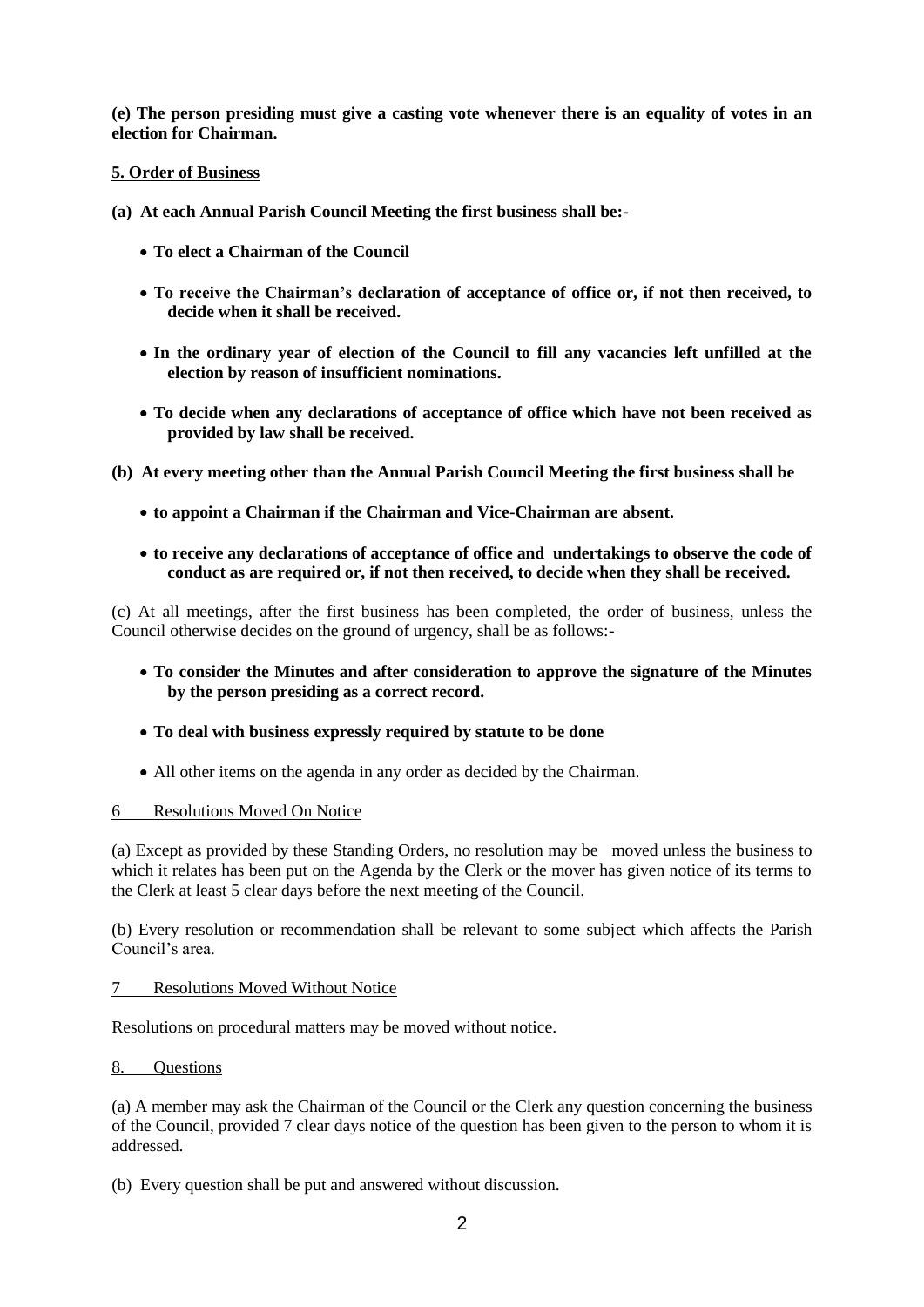**(e) The person presiding must give a casting vote whenever there is an equality of votes in an election for Chairman.**

## **5. Order of Business**

- **(a) At each Annual Parish Council Meeting the first business shall be:-**
	- **To elect a Chairman of the Council**
	- **To receive the Chairman's declaration of acceptance of office or, if not then received, to decide when it shall be received.**
	- **In the ordinary year of election of the Council to fill any vacancies left unfilled at the election by reason of insufficient nominations.**
	- **To decide when any declarations of acceptance of office which have not been received as provided by law shall be received.**

**(b) At every meeting other than the Annual Parish Council Meeting the first business shall be**

- **to appoint a Chairman if the Chairman and Vice-Chairman are absent.**
- **to receive any declarations of acceptance of office and undertakings to observe the code of conduct as are required or, if not then received, to decide when they shall be received.**

(c) At all meetings, after the first business has been completed, the order of business, unless the Council otherwise decides on the ground of urgency, shall be as follows:-

- **To consider the Minutes and after consideration to approve the signature of the Minutes by the person presiding as a correct record.**
- **To deal with business expressly required by statute to be done**
- All other items on the agenda in any order as decided by the Chairman.

## 6 Resolutions Moved On Notice

(a) Except as provided by these Standing Orders, no resolution may be moved unless the business to which it relates has been put on the Agenda by the Clerk or the mover has given notice of its terms to the Clerk at least 5 clear days before the next meeting of the Council.

(b) Every resolution or recommendation shall be relevant to some subject which affects the Parish Council's area.

7 Resolutions Moved Without Notice

Resolutions on procedural matters may be moved without notice.

### 8. Questions

(a) A member may ask the Chairman of the Council or the Clerk any question concerning the business of the Council, provided 7 clear days notice of the question has been given to the person to whom it is addressed.

(b) Every question shall be put and answered without discussion.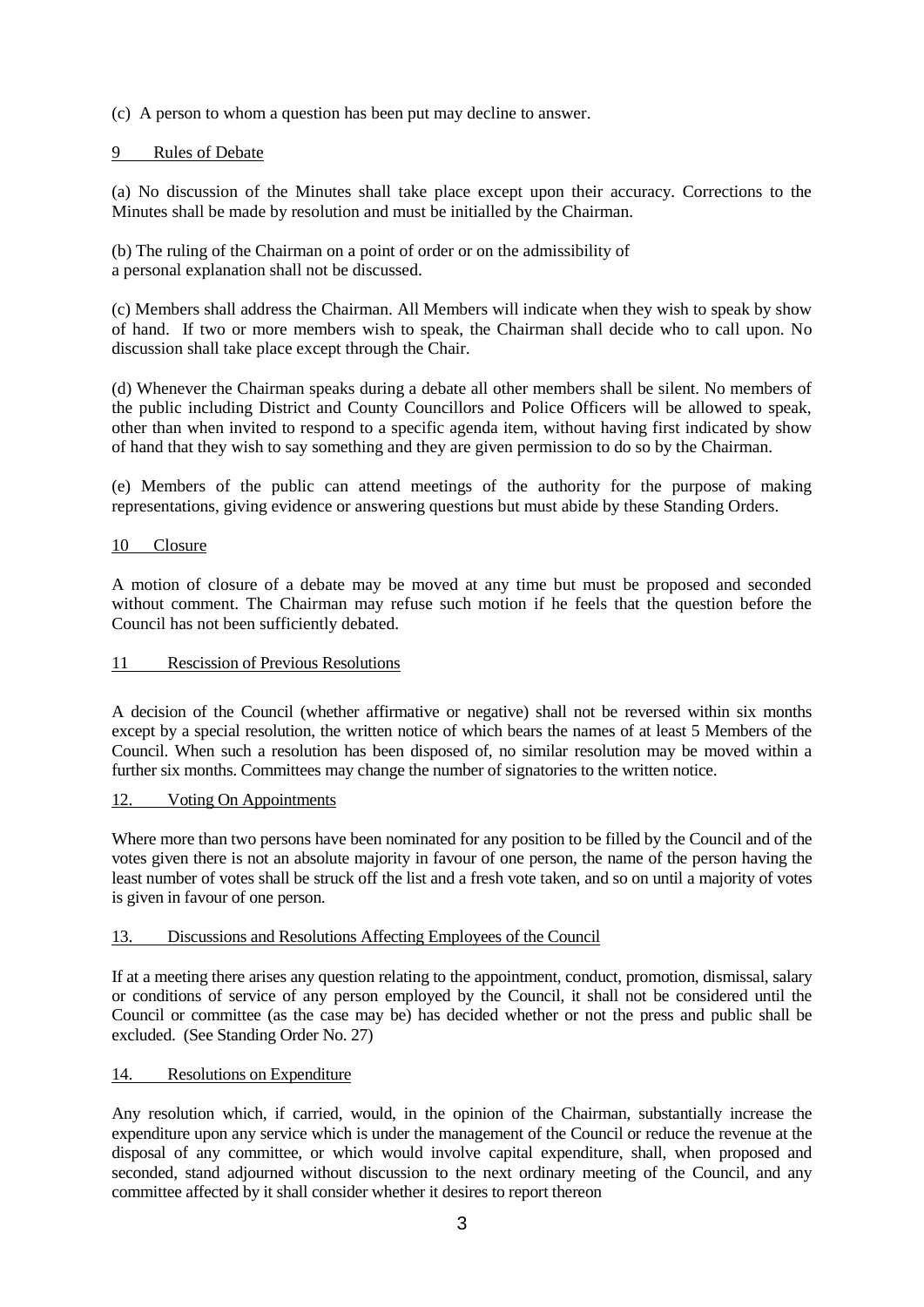(c) A person to whom a question has been put may decline to answer.

## 9 Rules of Debate

(a) No discussion of the Minutes shall take place except upon their accuracy. Corrections to the Minutes shall be made by resolution and must be initialled by the Chairman.

(b) The ruling of the Chairman on a point of order or on the admissibility of a personal explanation shall not be discussed.

(c) Members shall address the Chairman. All Members will indicate when they wish to speak by show of hand. If two or more members wish to speak, the Chairman shall decide who to call upon. No discussion shall take place except through the Chair.

(d) Whenever the Chairman speaks during a debate all other members shall be silent. No members of the public including District and County Councillors and Police Officers will be allowed to speak, other than when invited to respond to a specific agenda item, without having first indicated by show of hand that they wish to say something and they are given permission to do so by the Chairman.

(e) Members of the public can attend meetings of the authority for the purpose of making representations, giving evidence or answering questions but must abide by these Standing Orders.

### 10 Closure

A motion of closure of a debate may be moved at any time but must be proposed and seconded without comment. The Chairman may refuse such motion if he feels that the question before the Council has not been sufficiently debated.

## 11 Rescission of Previous Resolutions

A decision of the Council (whether affirmative or negative) shall not be reversed within six months except by a special resolution, the written notice of which bears the names of at least 5 Members of the Council. When such a resolution has been disposed of, no similar resolution may be moved within a further six months. Committees may change the number of signatories to the written notice.

### 12. Voting On Appointments

Where more than two persons have been nominated for any position to be filled by the Council and of the votes given there is not an absolute majority in favour of one person, the name of the person having the least number of votes shall be struck off the list and a fresh vote taken, and so on until a majority of votes is given in favour of one person.

### 13. Discussions and Resolutions Affecting Employees of the Council

If at a meeting there arises any question relating to the appointment, conduct, promotion, dismissal, salary or conditions of service of any person employed by the Council, it shall not be considered until the Council or committee (as the case may be) has decided whether or not the press and public shall be excluded. (See Standing Order No. 27)

### 14. Resolutions on Expenditure

Any resolution which, if carried, would, in the opinion of the Chairman, substantially increase the expenditure upon any service which is under the management of the Council or reduce the revenue at the disposal of any committee, or which would involve capital expenditure, shall, when proposed and seconded, stand adjourned without discussion to the next ordinary meeting of the Council, and any committee affected by it shall consider whether it desires to report thereon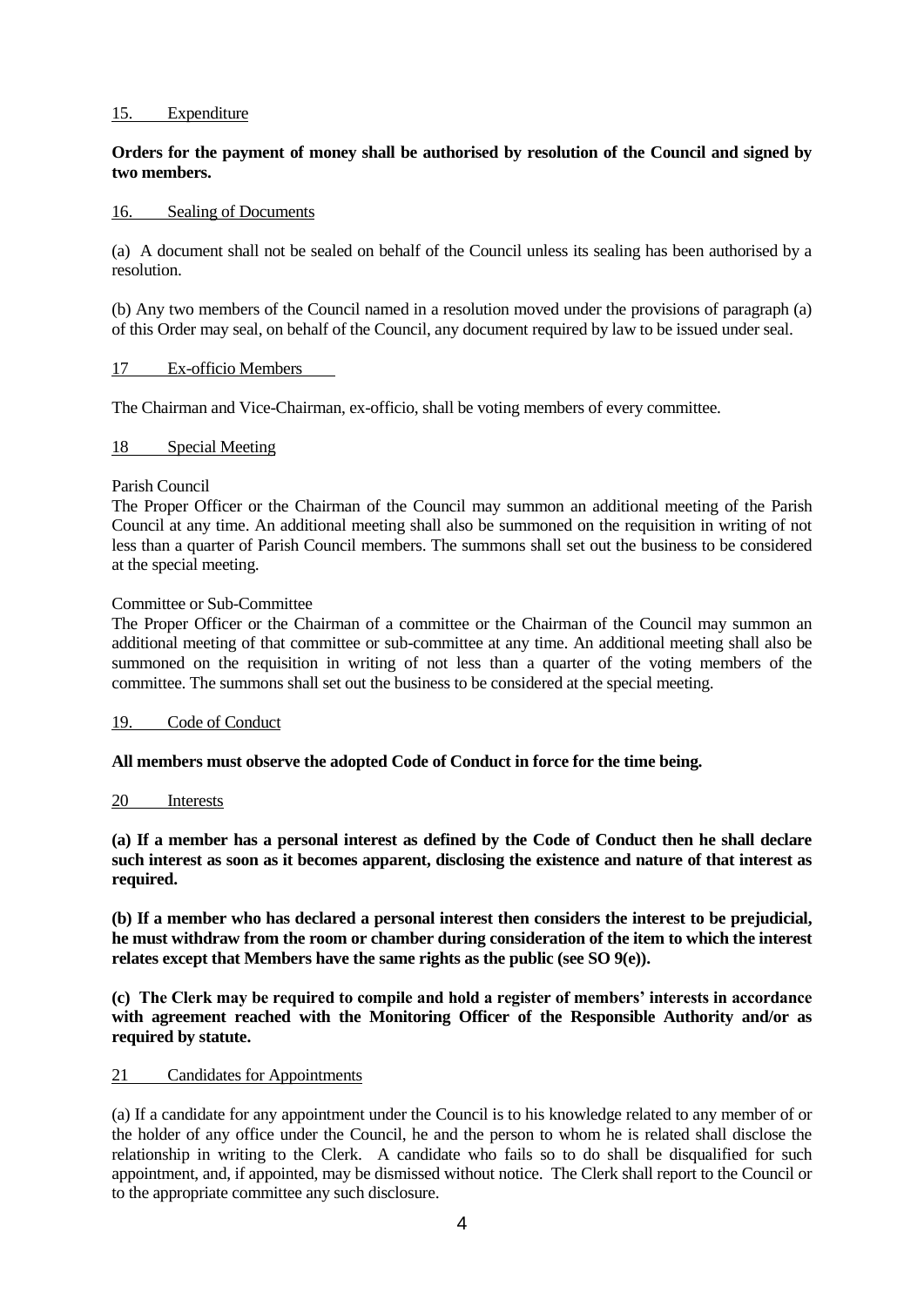#### 15. Expenditure

## **Orders for the payment of money shall be authorised by resolution of the Council and signed by two members.**

#### 16. Sealing of Documents

(a) A document shall not be sealed on behalf of the Council unless its sealing has been authorised by a resolution.

(b) Any two members of the Council named in a resolution moved under the provisions of paragraph (a) of this Order may seal, on behalf of the Council, any document required by law to be issued under seal.

#### 17 Ex-officio Members

The Chairman and Vice-Chairman, ex-officio, shall be voting members of every committee.

#### 18 Special Meeting

#### Parish Council

The Proper Officer or the Chairman of the Council may summon an additional meeting of the Parish Council at any time. An additional meeting shall also be summoned on the requisition in writing of not less than a quarter of Parish Council members. The summons shall set out the business to be considered at the special meeting.

#### Committee or Sub-Committee

The Proper Officer or the Chairman of a committee or the Chairman of the Council may summon an additional meeting of that committee or sub-committee at any time. An additional meeting shall also be summoned on the requisition in writing of not less than a quarter of the voting members of the committee. The summons shall set out the business to be considered at the special meeting.

### 19. Code of Conduct

#### **All members must observe the adopted Code of Conduct in force for the time being.**

#### 20 Interests

**(a) If a member has a personal interest as defined by the Code of Conduct then he shall declare such interest as soon as it becomes apparent, disclosing the existence and nature of that interest as required.**

**(b) If a member who has declared a personal interest then considers the interest to be prejudicial, he must withdraw from the room or chamber during consideration of the item to which the interest relates except that Members have the same rights as the public (see SO 9(e)).**

**(c) The Clerk may be required to compile and hold a register of members' interests in accordance**  with agreement reached with the Monitoring Officer of the Responsible Authority and/or as **required by statute.**

#### 21 Candidates for Appointments

(a) If a candidate for any appointment under the Council is to his knowledge related to any member of or the holder of any office under the Council, he and the person to whom he is related shall disclose the relationship in writing to the Clerk. A candidate who fails so to do shall be disqualified for such appointment, and, if appointed, may be dismissed without notice. The Clerk shall report to the Council or to the appropriate committee any such disclosure.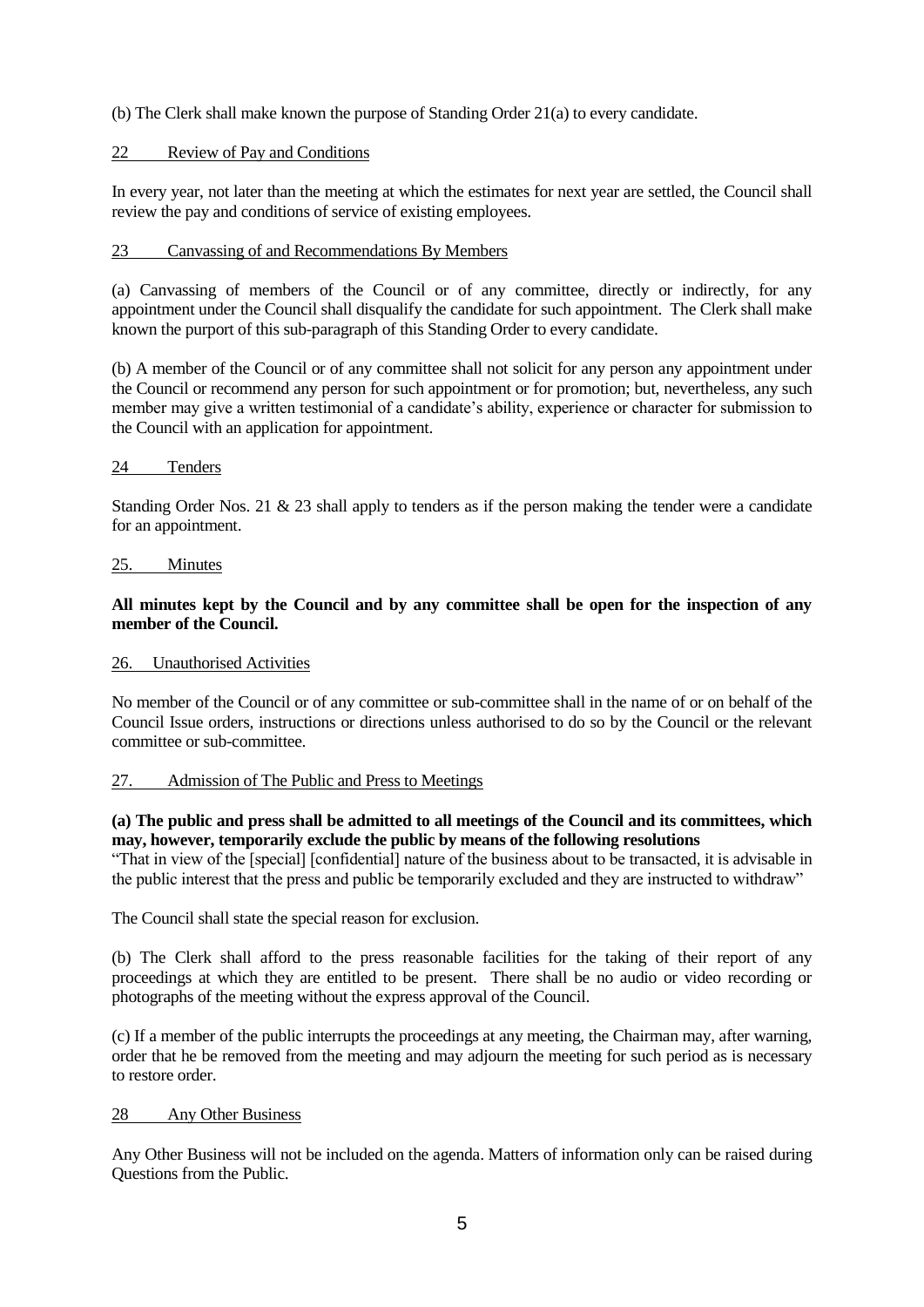(b) The Clerk shall make known the purpose of Standing Order 21(a) to every candidate.

## 22 Review of Pay and Conditions

In every year, not later than the meeting at which the estimates for next year are settled, the Council shall review the pay and conditions of service of existing employees.

## 23 Canvassing of and Recommendations By Members

(a) Canvassing of members of the Council or of any committee, directly or indirectly, for any appointment under the Council shall disqualify the candidate for such appointment. The Clerk shall make known the purport of this sub-paragraph of this Standing Order to every candidate.

(b) A member of the Council or of any committee shall not solicit for any person any appointment under the Council or recommend any person for such appointment or for promotion; but, nevertheless, any such member may give a written testimonial of a candidate's ability, experience or character for submission to the Council with an application for appointment.

## 24 Tenders

Standing Order Nos. 21 & 23 shall apply to tenders as if the person making the tender were a candidate for an appointment.

### 25. Minutes

## **All minutes kept by the Council and by any committee shall be open for the inspection of any member of the Council.**

## 26. Unauthorised Activities

No member of the Council or of any committee or sub-committee shall in the name of or on behalf of the Council Issue orders, instructions or directions unless authorised to do so by the Council or the relevant committee or sub-committee.

### 27. Admission of The Public and Press to Meetings

### **(a) The public and press shall be admitted to all meetings of the Council and its committees, which may, however, temporarily exclude the public by means of the following resolutions**

"That in view of the [special] [confidential] nature of the business about to be transacted, it is advisable in the public interest that the press and public be temporarily excluded and they are instructed to withdraw"

The Council shall state the special reason for exclusion.

(b) The Clerk shall afford to the press reasonable facilities for the taking of their report of any proceedings at which they are entitled to be present. There shall be no audio or video recording or photographs of the meeting without the express approval of the Council.

(c) If a member of the public interrupts the proceedings at any meeting, the Chairman may, after warning, order that he be removed from the meeting and may adjourn the meeting for such period as is necessary to restore order.

### 28 Any Other Business

Any Other Business will not be included on the agenda. Matters of information only can be raised during Questions from the Public.